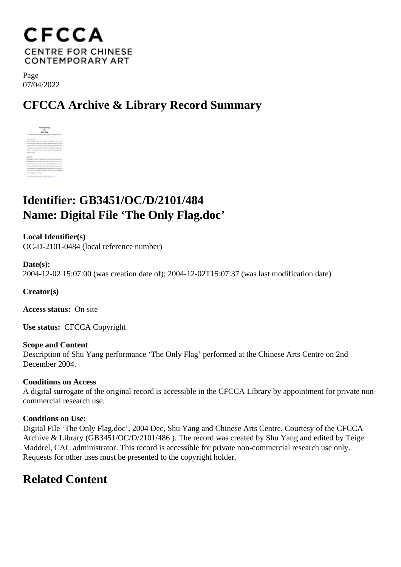## **CFCCA CENTRE FOR CHINESE CONTEMPORARY ART**

Page 07/04/2022

# **CFCCA Archive & Library Record Summary**



## **Identifier: GB3451/OC/D/2101/484 Name: Digital File 'The Only Flag.doc'**

**Local Identifier(s)** OC-D-2101-0484 (local reference number)

**Date(s):** 2004-12-02 15:07:00 (was creation date of); 2004-12-02T15:07:37 (was last modification date)

**Creator(s)**

**Access status:** On site

**Use status:** CFCCA Copyright

**Scope and Content** Description of Shu Yang performance 'The Only Flag' performed at the Chinese Arts Centre on 2nd December 2004.

#### **Conditions on Access**

A digital surrogate of the original record is accessible in the CFCCA Library by appointment for private noncommercial research use.

#### **Condtions on Use:**

Digital File 'The Only Flag.doc', 2004 Dec, Shu Yang and Chinese Arts Centre. Courtesy of the CFCCA Archive & Library (GB3451/OC/D/2101/486 ). The record was created by Shu Yang and edited by Teige Maddrel, CAC administrator. This record is accessible for private non-commercial research use only. Requests for other uses must be presented to the copyright holder.

## **Related Content**